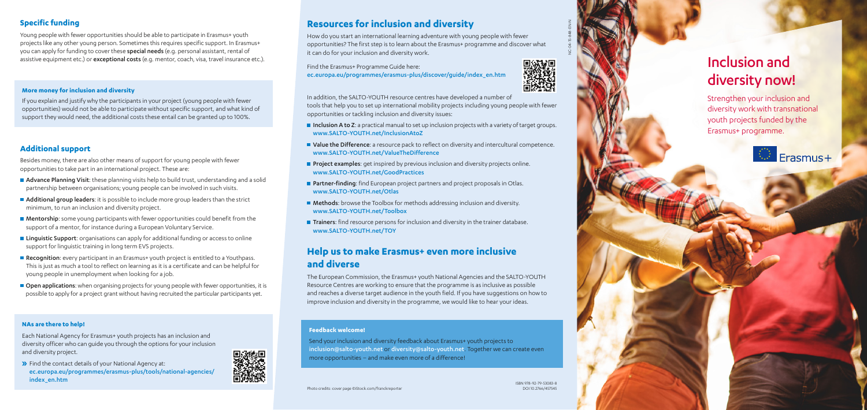### **More money for inclusion and diversity**

Young people with fewer opportunities should be able to participate in Erasmus+ youth projects like any other young person. Sometimes this requires specific support. In Erasmus+ you can apply for funding to cover these special needs (e.g. personal assistant, rental of assistive equipment etc.) or exceptional costs (e.g. mentor, coach, visa, travel insurance etc.).

If you explain and justify why the participants in your project (young people with fewer opportunities) would not be able to participate without specific support, and what kind of support they would need, the additional costs these entail can be granted up to 100%.

## **Additional support**

Besides money, there are also other means of support for young people with fewer opportunities to take part in an international project. These are:

- **Advance Planning Visit:** these planning visits help to build trust, understanding and a solid partnership between organisations; young people can be involved in such visits.
- Additional group leaders: it is possible to include more group leaders than the strict minimum, to run an inclusion and diversity project.
- **Mentorship:** some young participants with fewer opportunities could benefit from the support of a mentor, for instance during a European Voluntary Service.
- **Linguistic Support:** organisations can apply for additional funding or access to online support for linguistic training in long term EVS projects.
- Recognition: every participant in an Erasmus+ youth project is entitled to a Youthpass. This is just as much a tool to reflect on learning as it is a certificate and can be helpful for young people in unemployment when looking for a job.
- **Open applications:** when organising projects for young people with fewer opportunities, it is possible to apply for a project grant without having recruited the particular participants yet.
- Inclusion A to Z: a practical manual to set up inclusion projects with a variety of target groups. www.SALTO-YOUTH.net/InclusionAtoZ
- **U** Value the Difference: a resource pack to reflect on diversity and intercultural competence. www.SALTO-YOUTH.net/ValueTheDifference
- **Project examples:** get inspired by previous inclusion and diversity projects online. www.SALTO-YOUTH.net/GoodPractices
- **Partner-finding**: find European project partners and project proposals in Otlas. www.SALTO-YOUTH.net/Otlas
- Methods: browse the Toolbox for methods addressing inclusion and diversity. www.SALTO-YOUTH.net/Toolbox
- **Trainers:** find resource persons for inclusion and diversity in the trainer database. www.SALTO-YOUTH.net/TOY

## **Resources for inclusion and diversity**

How do you start an international learning adventure with young people with fewer opportunities? The first step is to learn about the Erasmus+ programme and discover what it can do for your inclusion and diversity work.

**>>** Find the contact details of your National Agency at: ec.europa.eu/programmes/erasmus-plus/tools/national-agencies/ index\_en.htm



Find the Erasmus+ Programme Guide here: ec.europa.eu/programmes/erasmus-plus/discover/guide/index\_en.htm



In addition, the SALTO-YOUTH resource centres have developed a number of tools that help you to set up international mobility projects including young people with fewer opportunities or tackling inclusion and diversity issues:

## **Help us to make Erasmus+ even more inclusive and diverse**

The European Commission, the Erasmus+ youth National Agencies and the SALTO-YOUTH Resource Centres are working to ensure that the programme is as inclusive as possible and reaches a diverse target audience in the youth field. If you have suggestions on how to improve inclusion and diversity in the programme, we would like to hear your ideas.

Strengthen your inclusion and diversity work with transnational youth projects funded by the Erasmus+ programme.



# Inclusion and diversity now!

### **Feedback welcome!**

Send your inclusion and diversity feedback about Erasmus+ youth projects to inclusion@salto-youth.net or diversity@salto-youth.net. Together we can create even more opportunities – and make even more of a difference!

## **NAs are there to help!**

Each National Agency for Erasmus+ youth projects has an inclusion and diversity officer who can guide you through the options for your inclusion and diversity project.

NC-04-15-848-EN-N